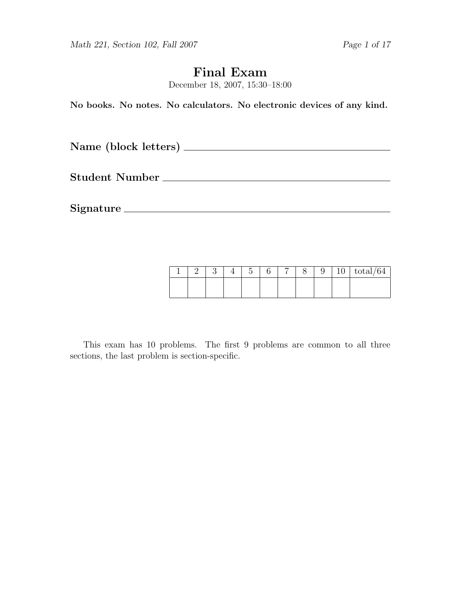Math 221, Section 102, Fall 2007 Page 1 of 17

# Final Exam

December 18, 2007, 15:30–18:00

No books. No notes. No calculators. No electronic devices of any kind.

Name (block letters)

Student Number

Signature

|  |  | $\tilde{\phantom{a}}$ | − |  | ٠<br>ΙU | $\mathrm{total}/64$ |
|--|--|-----------------------|---|--|---------|---------------------|
|  |  |                       |   |  |         |                     |

This exam has 10 problems. The first 9 problems are common to all three sections, the last problem is section-specific.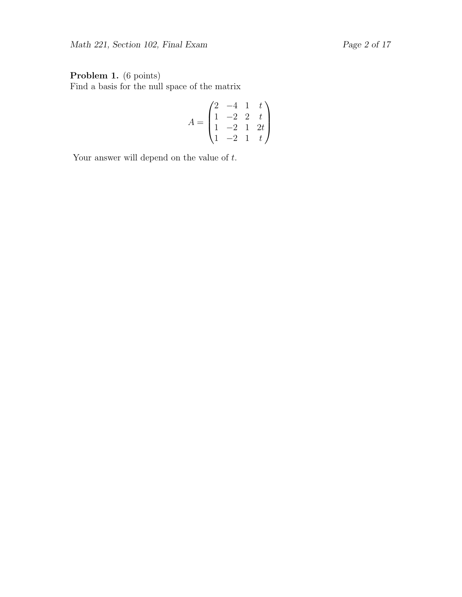## Problem 1. (6 points)

Find a basis for the null space of the matrix

$$
A = \begin{pmatrix} 2 & -4 & 1 & t \\ 1 & -2 & 2 & t \\ 1 & -2 & 1 & 2t \\ 1 & -2 & 1 & t \end{pmatrix}
$$

Your answer will depend on the value of  $t$ .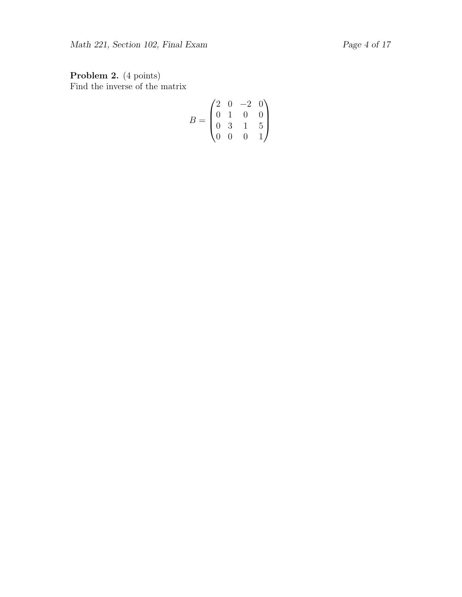Problem 2. (4 points) Find the inverse of the matrix

$$
B = \begin{pmatrix} 2 & 0 & -2 & 0 \\ 0 & 1 & 0 & 0 \\ 0 & 3 & 1 & 5 \\ 0 & 0 & 0 & 1 \end{pmatrix}
$$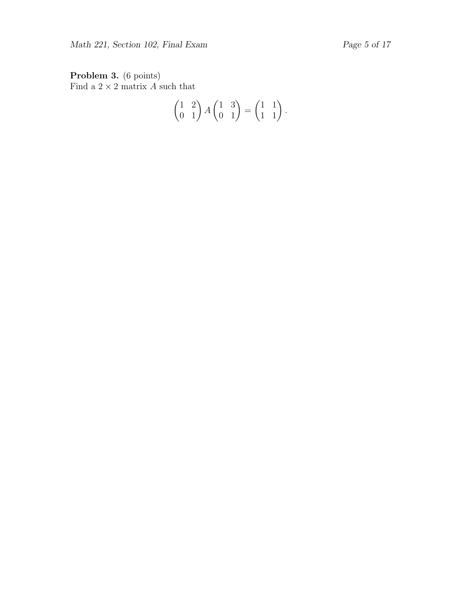Problem 3. (6 points) Find a  $2 \times 2$  matrix A such that

$$
\begin{pmatrix} 1 & 2 \\ 0 & 1 \end{pmatrix} A \begin{pmatrix} 1 & 3 \\ 0 & 1 \end{pmatrix} = \begin{pmatrix} 1 & 1 \\ 1 & 1 \end{pmatrix}.
$$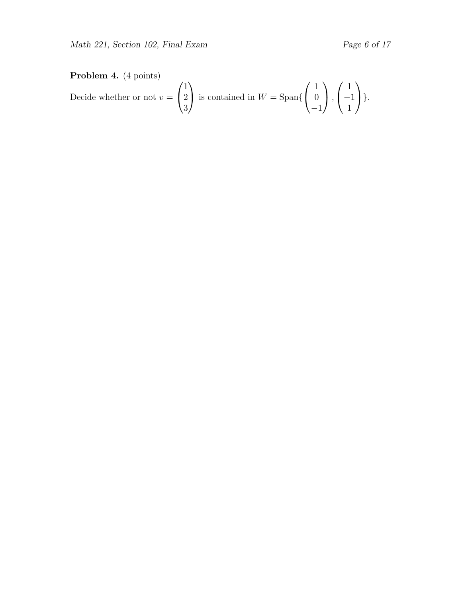## Problem 4. (4 points)

Decide whether or not  $v =$  $\sqrt{ }$  $\overline{1}$ 1 2 3  $\setminus$ is contained in  $W = \text{Span}\{$  $\sqrt{ }$  $\overline{1}$ 1  $\overline{0}$ −1  $\setminus$  $\vert$ ,  $\sqrt{ }$  $\overline{1}$ 1 −1 1  $\setminus$  $\bigg\}$ .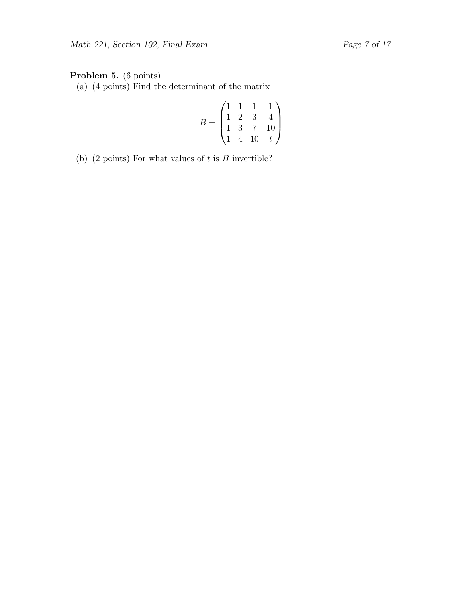## Problem 5. (6 points)

(a) (4 points) Find the determinant of the matrix

$$
B = \begin{pmatrix} 1 & 1 & 1 & 1 \\ 1 & 2 & 3 & 4 \\ 1 & 3 & 7 & 10 \\ 1 & 4 & 10 & t \end{pmatrix}
$$

(b) (2 points) For what values of  $t$  is  $B$  invertible?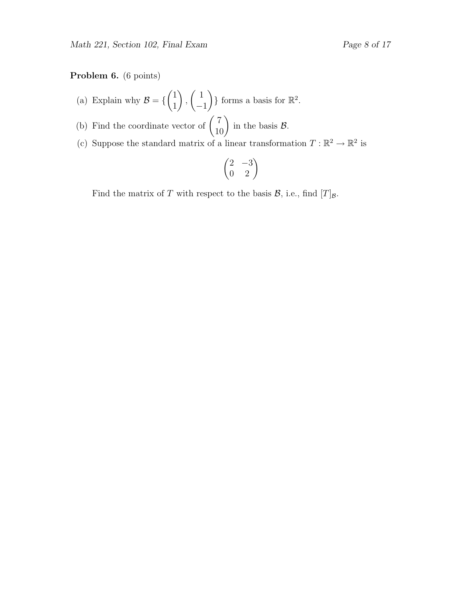#### Problem 6. (6 points)

- (a) Explain why  $\mathcal{B} = \{$  $\sqrt{1}$ 1  $\setminus$ ,  $\begin{pmatrix} 1 \end{pmatrix}$ −1  $\}$  forms a basis for  $\mathbb{R}^2$ .
- (b) Find the coordinate vector of  $\begin{pmatrix} 7 \\ 10 \end{pmatrix}$  in the basis  $\mathcal{B}$ .
- (c) Suppose the standard matrix of a linear transformation  $T : \mathbb{R}^2 \to \mathbb{R}^2$  is

$$
\begin{pmatrix} 2 & -3 \\ 0 & 2 \end{pmatrix}
$$

Find the matrix of T with respect to the basis  $\mathcal{B}$ , i.e., find  $[T]_{\mathcal{B}}$ .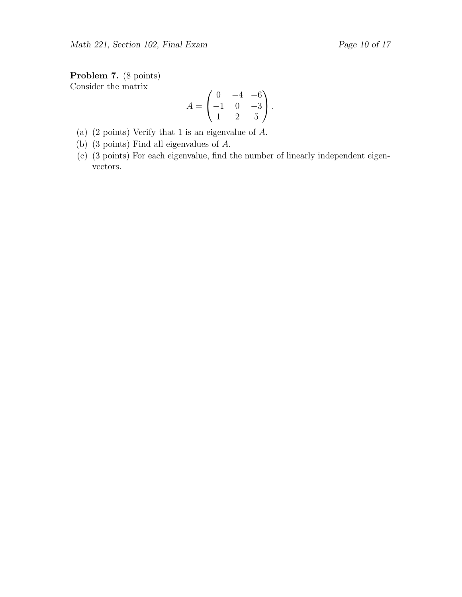Problem 7. (8 points) Consider the matrix

$$
A = \begin{pmatrix} 0 & -4 & -6 \\ -1 & 0 & -3 \\ 1 & 2 & 5 \end{pmatrix}.
$$

- (a) (2 points) Verify that 1 is an eigenvalue of A.
- (b) (3 points) Find all eigenvalues of A.
- (c) (3 points) For each eigenvalue, find the number of linearly independent eigenvectors.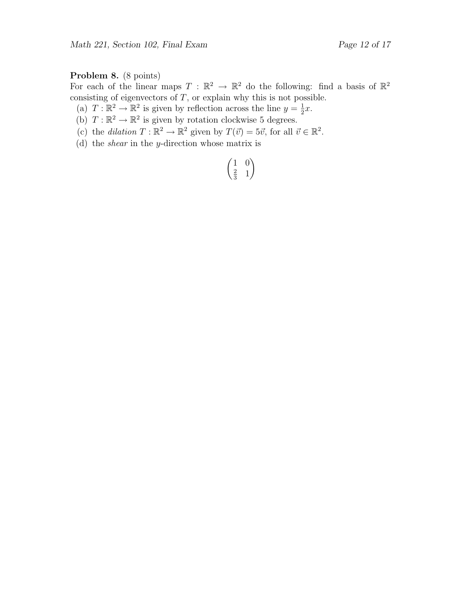## Problem 8. (8 points)

For each of the linear maps  $T : \mathbb{R}^2 \to \mathbb{R}^2$  do the following: find a basis of  $\mathbb{R}^2$ consisting of eigenvectors of  $T$ , or explain why this is not possible.

- (a)  $T : \mathbb{R}^2 \to \mathbb{R}^2$  is given by reflection across the line  $y = \frac{1}{2}x$ .
- (a)  $T : \mathbb{R}^2 \to \mathbb{R}^2$  is given by rotation clockwise 5 degrees.
- (c) the dilation  $T : \mathbb{R}^2 \to \mathbb{R}^2$  given by  $T(\vec{v}) = 5\vec{v}$ , for all  $\vec{v} \in \mathbb{R}^2$ .
- (d) the shear in the y-direction whose matrix is

$$
\begin{pmatrix}\n1 & 0 \\
\frac{2}{3} & 1\n\end{pmatrix}
$$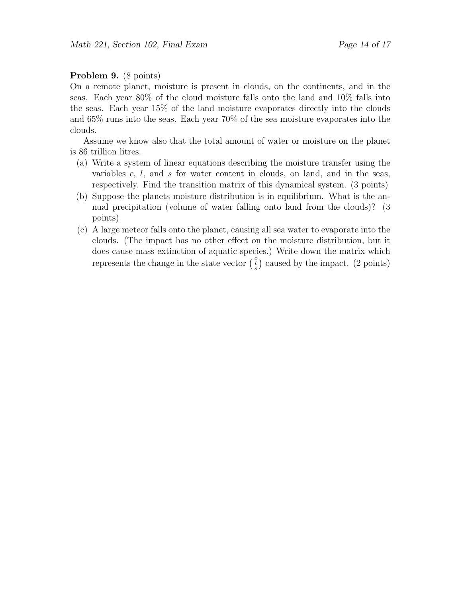#### Problem 9. (8 points)

On a remote planet, moisture is present in clouds, on the continents, and in the seas. Each year 80% of the cloud moisture falls onto the land and 10% falls into the seas. Each year 15% of the land moisture evaporates directly into the clouds and 65% runs into the seas. Each year 70% of the sea moisture evaporates into the clouds.

Assume we know also that the total amount of water or moisture on the planet is 86 trillion litres.

- (a) Write a system of linear equations describing the moisture transfer using the variables  $c, l,$  and  $s$  for water content in clouds, on land, and in the seas, respectively. Find the transition matrix of this dynamical system. (3 points)
- (b) Suppose the planets moisture distribution is in equilibrium. What is the annual precipitation (volume of water falling onto land from the clouds)? (3 points)
- (c) A large meteor falls onto the planet, causing all sea water to evaporate into the clouds. (The impact has no other effect on the moisture distribution, but it does cause mass extinction of aquatic species.) Write down the matrix which represents the change in the state vector  $\begin{pmatrix} c \\ s \end{pmatrix}$  caused by the impact. (2 points)